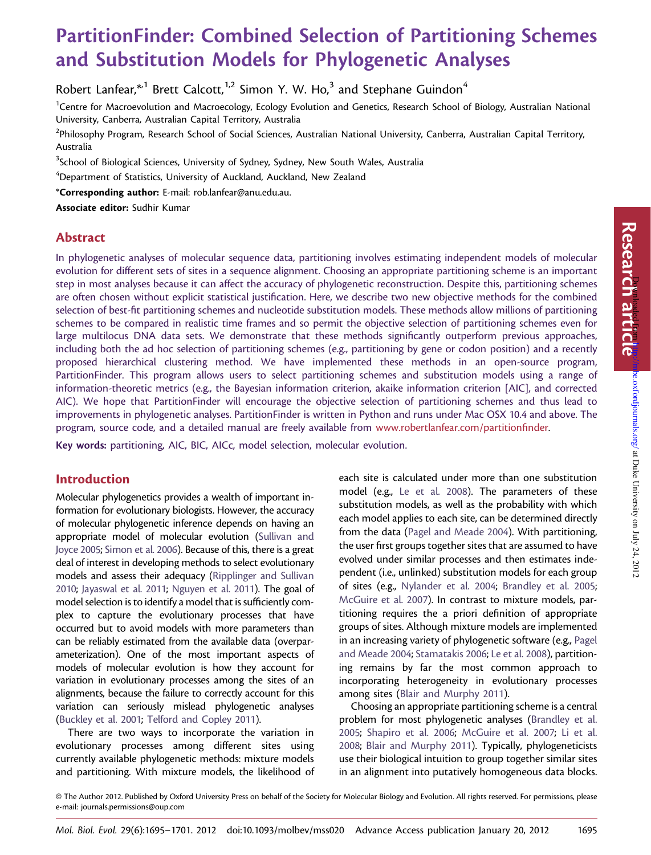# PartitionFinder: Combined Selection of Partitioning Schemes and Substitution Models for Phylogenetic Analyses

Robert Lanfear, $*1$ <sup>1</sup> Brett Calcott.<sup>1,2</sup> Simon Y. W. Ho,<sup>3</sup> and Stephane Guindon<sup>4</sup>

<sup>1</sup>Centre for Macroevolution and Macroecology, Ecology Evolution and Genetics, Research School of Biology, Australian National University, Canberra, Australian Capital Territory, Australia

<sup>2</sup>Philosophy Program, Research School of Social Sciences, Australian National University, Canberra, Australian Capital Territory, Australia

<sup>3</sup>School of Biological Sciences, University of Sydney, Sydney, New South Wales, Australia

 $\mathrm{^4}$ Department of Statistics, University of Auckland, Auckland, New Zealand

\*Corresponding author: E-mail: rob.lanfear@anu.edu.au.

Associate editor: Sudhir Kumar

## Abstract

In phylogenetic analyses of molecular sequence data, partitioning involves estimating independent models of molecular evolution for different sets of sites in a sequence alignment. Choosing an appropriate partitioning scheme is an important step in most analyses because it can affect the accuracy of phylogenetic reconstruction. Despite this, partitioning schemes are often chosen without explicit statistical justification. Here, we describe two new objective methods for the combined selection of best-fit partitioning schemes and nucleotide substitution models. These methods allow millions of partitioning schemes to be compared in realistic time frames and so permit the objective selection of partitioning schemes even for large multilocus DNA data sets. We demonstrate that these methods significantly outperform previous approaches, including both the ad hoc selection of partitioning schemes (e.g., partitioning by gene or codon position) and a recently proposed hierarchical clustering method. We have implemented these methods in an open-source program, PartitionFinder. This program allows users to select partitioning schemes and substitution models using a range of information-theoretic metrics (e.g., the Bayesian information criterion, akaike information criterion [AIC], and corrected AIC). We hope that PartitionFinder will encourage the objective selection of partitioning schemes and thus lead to improvements in phylogenetic analyses. PartitionFinder is written in Python and runs under Mac OSX 10.4 and above. The program, source code, and a detailed manual are freely available from [www.robertlanfear.com/partitionfinder.](www.robertlanfear.com/partitionfinder)

Key words: partitioning, AIC, BIC, AICc, model selection, molecular evolution.

## Introduction

Molecular phylogenetics provides a wealth of important information for evolutionary biologists. However, the accuracy of molecular phylogenetic inference depends on having an appropriate model of molecular evolution ([Sullivan and](#page-6-0) [Joyce 2005](#page-6-0); [Simon et al. 2006](#page-6-0)). Because of this, there is a great deal of interest in developing methods to select evolutionary models and assess their adequacy ([Ripplinger and Sullivan](#page-6-0) [2010;](#page-6-0) [Jayaswal et al. 2011](#page-6-0); [Nguyen et al. 2011\)](#page-6-0). The goal of model selection is to identify a model that is sufficiently complex to capture the evolutionary processes that have occurred but to avoid models with more parameters than can be reliably estimated from the available data (overparameterization). One of the most important aspects of models of molecular evolution is how they account for variation in evolutionary processes among the sites of an alignments, because the failure to correctly account for this variation can seriously mislead phylogenetic analyses [\(Buckley et al. 2001](#page-6-0); [Telford and Copley 2011\)](#page-6-0).

There are two ways to incorporate the variation in evolutionary processes among different sites using currently available phylogenetic methods: mixture models and partitioning. With mixture models, the likelihood of each site is calculated under more than one substitution model (e.g., [Le et al. 2008](#page-6-0)). The parameters of these substitution models, as well as the probability with which each model applies to each site, can be determined directly from the data [\(Pagel and Meade 2004\)](#page-6-0). With partitioning, the user first groups together sites that are assumed to have evolved under similar processes and then estimates independent (i.e., unlinked) substitution models for each group of sites (e.g., [Nylander et al. 2004](#page-6-0); [Brandley et al. 2005](#page-6-0); [McGuire et al. 2007](#page-6-0)). In contrast to mixture models, partitioning requires the a priori definition of appropriate groups of sites. Although mixture models are implemented in an increasing variety of phylogenetic software (e.g., [Pagel](#page-6-0) [and Meade 2004](#page-6-0); [Stamatakis 2006](#page-6-0); [Le et al. 2008](#page-6-0)), partitioning remains by far the most common approach to incorporating heterogeneity in evolutionary processes among sites ([Blair and Murphy 2011\)](#page-6-0).

Choosing an appropriate partitioning scheme is a central problem for most phylogenetic analyses ([Brandley et al.](#page-6-0) [2005](#page-6-0); [Shapiro et al. 2006;](#page-6-0) [McGuire et al. 2007](#page-6-0); [Li et al.](#page-6-0) [2008](#page-6-0); [Blair and Murphy 2011](#page-6-0)). Typically, phylogeneticists use their biological intuition to group together similar sites in an alignment into putatively homogeneous data blocks.

<sup>©</sup> The Author 2012. Published by Oxford University Press on behalf of the Society for Molecular Biology and Evolution. All rights reserved. For permissions, please e-mail: journals.permissions@oup.com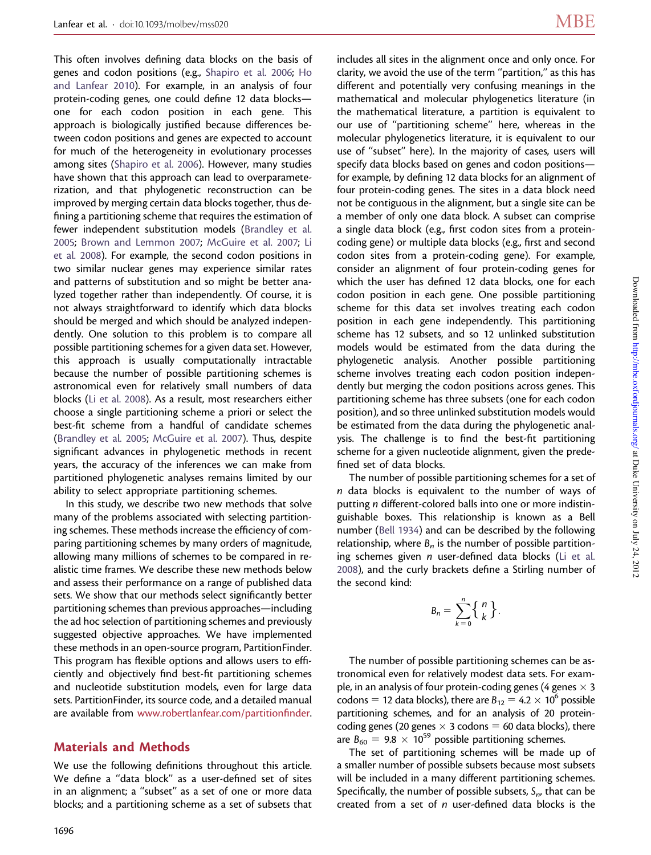This often involves defining data blocks on the basis of genes and codon positions (e.g., [Shapiro et al. 2006](#page-6-0); [Ho](#page-6-0) [and Lanfear 2010](#page-6-0)). For example, in an analysis of four protein-coding genes, one could define 12 data blocks one for each codon position in each gene. This approach is biologically justified because differences between codon positions and genes are expected to account for much of the heterogeneity in evolutionary processes among sites ([Shapiro et al. 2006](#page-6-0)). However, many studies have shown that this approach can lead to overparameterization, and that phylogenetic reconstruction can be improved by merging certain data blocks together, thus defining a partitioning scheme that requires the estimation of fewer independent substitution models ([Brandley et al.](#page-6-0) [2005](#page-6-0); [Brown and Lemmon 2007](#page-6-0); [McGuire et al. 2007;](#page-6-0) [Li](#page-6-0) [et al. 2008\)](#page-6-0). For example, the second codon positions in two similar nuclear genes may experience similar rates and patterns of substitution and so might be better analyzed together rather than independently. Of course, it is not always straightforward to identify which data blocks should be merged and which should be analyzed independently. One solution to this problem is to compare all possible partitioning schemes for a given data set. However, this approach is usually computationally intractable because the number of possible partitioning schemes is astronomical even for relatively small numbers of data blocks [\(Li et al. 2008](#page-6-0)). As a result, most researchers either choose a single partitioning scheme a priori or select the best-fit scheme from a handful of candidate schemes [\(Brandley et al. 2005](#page-6-0); [McGuire et al. 2007\)](#page-6-0). Thus, despite significant advances in phylogenetic methods in recent years, the accuracy of the inferences we can make from partitioned phylogenetic analyses remains limited by our ability to select appropriate partitioning schemes.

In this study, we describe two new methods that solve many of the problems associated with selecting partitioning schemes. These methods increase the efficiency of comparing partitioning schemes by many orders of magnitude, allowing many millions of schemes to be compared in realistic time frames. We describe these new methods below and assess their performance on a range of published data sets. We show that our methods select significantly better partitioning schemes than previous approaches—including the ad hoc selection of partitioning schemes and previously suggested objective approaches. We have implemented these methods in an open-source program, PartitionFinder. This program has flexible options and allows users to efficiently and objectively find best-fit partitioning schemes and nucleotide substitution models, even for large data sets. PartitionFinder, its source code, and a detailed manual are available from <www.robertlanfear.com/partitionfinder>.

#### Materials and Methods

We use the following definitions throughout this article. We define a ''data block'' as a user-defined set of sites in an alignment; a ''subset'' as a set of one or more data blocks; and a partitioning scheme as a set of subsets that includes all sites in the alignment once and only once. For clarity, we avoid the use of the term ''partition,'' as this has different and potentially very confusing meanings in the mathematical and molecular phylogenetics literature (in the mathematical literature, a partition is equivalent to our use of ''partitioning scheme'' here, whereas in the molecular phylogenetics literature, it is equivalent to our use of ''subset'' here). In the majority of cases, users will specify data blocks based on genes and codon positions for example, by defining 12 data blocks for an alignment of four protein-coding genes. The sites in a data block need not be contiguous in the alignment, but a single site can be a member of only one data block. A subset can comprise a single data block (e.g., first codon sites from a proteincoding gene) or multiple data blocks (e.g., first and second codon sites from a protein-coding gene). For example, consider an alignment of four protein-coding genes for which the user has defined 12 data blocks, one for each codon position in each gene. One possible partitioning scheme for this data set involves treating each codon position in each gene independently. This partitioning scheme has 12 subsets, and so 12 unlinked substitution models would be estimated from the data during the phylogenetic analysis. Another possible partitioning scheme involves treating each codon position independently but merging the codon positions across genes. This partitioning scheme has three subsets (one for each codon position), and so three unlinked substitution models would be estimated from the data during the phylogenetic analysis. The challenge is to find the best-fit partitioning scheme for a given nucleotide alignment, given the predefined set of data blocks.

The number of possible partitioning schemes for a set of n data blocks is equivalent to the number of ways of putting n different-colored balls into one or more indistinguishable boxes. This relationship is known as a Bell number ([Bell 1934\)](#page-6-0) and can be described by the following relationship, where  $B_n$  is the number of possible partitioning schemes given *n* user-defined data blocks [\(Li et al.](#page-6-0) [2008](#page-6-0)), and the curly brackets define a Stirling number of the second kind:

$$
B_n=\sum_{k=0}^n\left\{\begin{matrix}n\\k\end{matrix}\right\}.
$$

The number of possible partitioning schemes can be astronomical even for relatively modest data sets. For example, in an analysis of four protein-coding genes (4 genes  $\times$  3 codons = 12 data blocks), there are  $B_{12} = 4.2 \times 10^6$  possible partitioning schemes, and for an analysis of 20 proteincoding genes (20 genes  $\times$  3 codons = 60 data blocks), there are  $B_{60} = 9.8 \times 10^{59}$  possible partitioning schemes.

The set of partitioning schemes will be made up of a smaller number of possible subsets because most subsets will be included in a many different partitioning schemes. Specifically, the number of possible subsets,  $S_n$ , that can be created from a set of n user-defined data blocks is the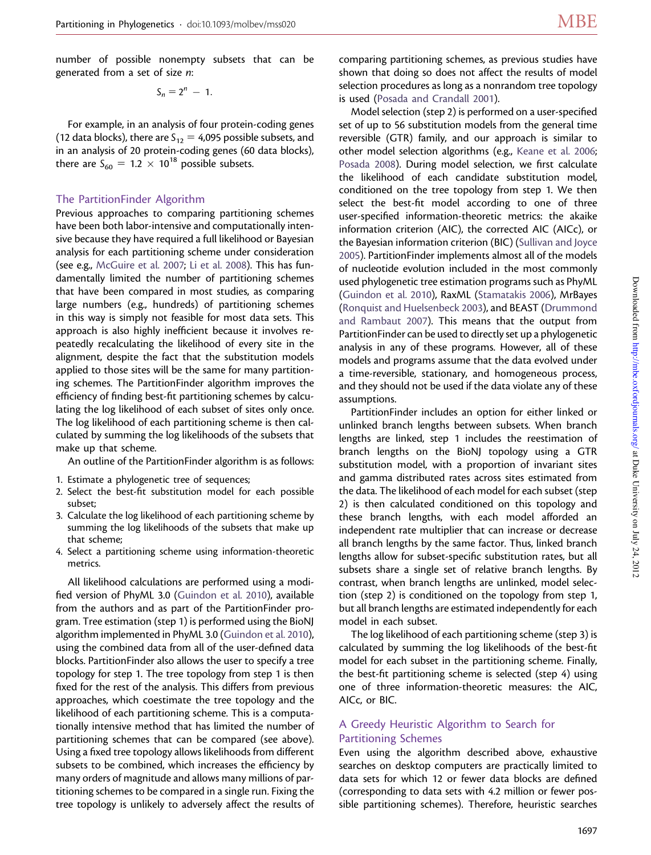number of possible nonempty subsets that can be generated from a set of size n:

$$
S_n=2^n-1.
$$

For example, in an analysis of four protein-coding genes (12 data blocks), there are  $S_{12} = 4,095$  possible subsets, and in an analysis of 20 protein-coding genes (60 data blocks), there are  $S_{60} = 1.2 \times 10^{18}$  possible subsets.

## The PartitionFinder Algorithm

Previous approaches to comparing partitioning schemes have been both labor-intensive and computationally intensive because they have required a full likelihood or Bayesian analysis for each partitioning scheme under consideration (see e.g., [McGuire et al. 2007](#page-6-0); [Li et al. 2008](#page-6-0)). This has fundamentally limited the number of partitioning schemes that have been compared in most studies, as comparing large numbers (e.g., hundreds) of partitioning schemes in this way is simply not feasible for most data sets. This approach is also highly inefficient because it involves repeatedly recalculating the likelihood of every site in the alignment, despite the fact that the substitution models applied to those sites will be the same for many partitioning schemes. The PartitionFinder algorithm improves the efficiency of finding best-fit partitioning schemes by calculating the log likelihood of each subset of sites only once. The log likelihood of each partitioning scheme is then calculated by summing the log likelihoods of the subsets that make up that scheme.

An outline of the PartitionFinder algorithm is as follows:

- 1. Estimate a phylogenetic tree of sequences;
- 2. Select the best-fit substitution model for each possible subset;
- 3. Calculate the log likelihood of each partitioning scheme by summing the log likelihoods of the subsets that make up that scheme;
- 4. Select a partitioning scheme using information-theoretic metrics.

All likelihood calculations are performed using a modified version of PhyML 3.0 [\(Guindon et al. 2010](#page-6-0)), available from the authors and as part of the PartitionFinder program. Tree estimation (step 1) is performed using the BioNJ algorithm implemented in PhyML 3.0 ([Guindon et al. 2010\)](#page-6-0), using the combined data from all of the user-defined data blocks. PartitionFinder also allows the user to specify a tree topology for step 1. The tree topology from step 1 is then fixed for the rest of the analysis. This differs from previous approaches, which coestimate the tree topology and the likelihood of each partitioning scheme. This is a computationally intensive method that has limited the number of partitioning schemes that can be compared (see above). Using a fixed tree topology allows likelihoods from different subsets to be combined, which increases the efficiency by many orders of magnitude and allows many millions of partitioning schemes to be compared in a single run. Fixing the tree topology is unlikely to adversely affect the results of comparing partitioning schemes, as previous studies have shown that doing so does not affect the results of model selection procedures as long as a nonrandom tree topology is used ([Posada and Crandall 2001\)](#page-6-0).

Model selection (step 2) is performed on a user-specified set of up to 56 substitution models from the general time reversible (GTR) family, and our approach is similar to other model selection algorithms (e.g., [Keane et al. 2006](#page-6-0); [Posada 2008\)](#page-6-0). During model selection, we first calculate the likelihood of each candidate substitution model, conditioned on the tree topology from step 1. We then select the best-fit model according to one of three user-specified information-theoretic metrics: the akaike information criterion (AIC), the corrected AIC (AICc), or the Bayesian information criterion (BIC) ([Sullivan and Joyce](#page-6-0) [2005](#page-6-0)). PartitionFinder implements almost all of the models of nucleotide evolution included in the most commonly used phylogenetic tree estimation programs such as PhyML [\(Guindon et al. 2010\)](#page-6-0), RaxML [\(Stamatakis 2006](#page-6-0)), MrBayes [\(Ronquist and Huelsenbeck 2003](#page-6-0)), and BEAST [\(Drummond](#page-6-0) [and Rambaut 2007\)](#page-6-0). This means that the output from PartitionFinder can be used to directly set up a phylogenetic analysis in any of these programs. However, all of these models and programs assume that the data evolved under a time-reversible, stationary, and homogeneous process, and they should not be used if the data violate any of these assumptions.

PartitionFinder includes an option for either linked or unlinked branch lengths between subsets. When branch lengths are linked, step 1 includes the reestimation of branch lengths on the BioNJ topology using a GTR substitution model, with a proportion of invariant sites and gamma distributed rates across sites estimated from the data. The likelihood of each model for each subset (step 2) is then calculated conditioned on this topology and these branch lengths, with each model afforded an independent rate multiplier that can increase or decrease all branch lengths by the same factor. Thus, linked branch lengths allow for subset-specific substitution rates, but all subsets share a single set of relative branch lengths. By contrast, when branch lengths are unlinked, model selection (step 2) is conditioned on the topology from step 1, but all branch lengths are estimated independently for each model in each subset.

The log likelihood of each partitioning scheme (step 3) is calculated by summing the log likelihoods of the best-fit model for each subset in the partitioning scheme. Finally, the best-fit partitioning scheme is selected (step 4) using one of three information-theoretic measures: the AIC, AICc, or BIC.

## A Greedy Heuristic Algorithm to Search for Partitioning Schemes

Even using the algorithm described above, exhaustive searches on desktop computers are practically limited to data sets for which 12 or fewer data blocks are defined (corresponding to data sets with 4.2 million or fewer possible partitioning schemes). Therefore, heuristic searches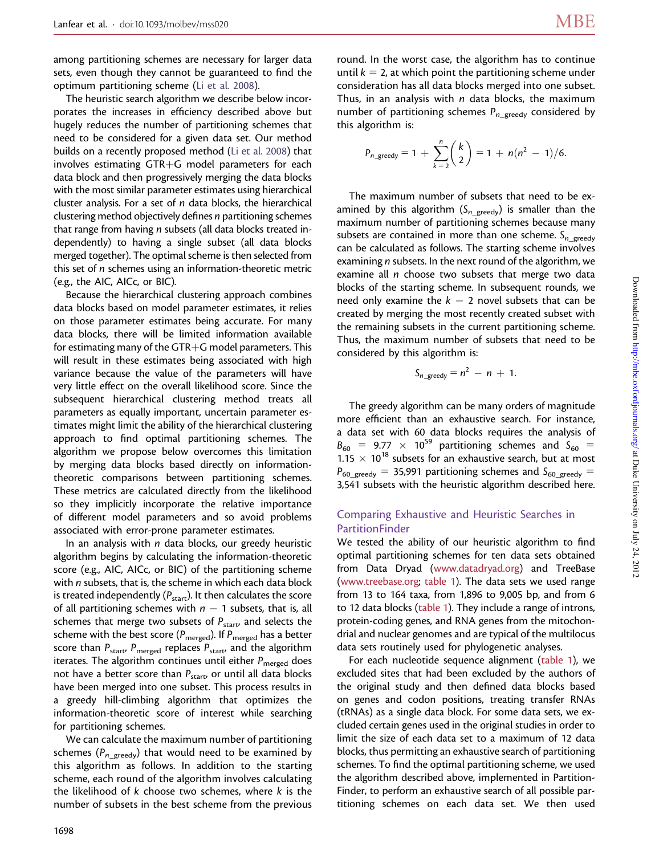among partitioning schemes are necessary for larger data sets, even though they cannot be guaranteed to find the optimum partitioning scheme ([Li et al. 2008](#page-6-0)).

The heuristic search algorithm we describe below incorporates the increases in efficiency described above but hugely reduces the number of partitioning schemes that need to be considered for a given data set. Our method builds on a recently proposed method [\(Li et al. 2008](#page-6-0)) that involves estimating  $GTR+G$  model parameters for each data block and then progressively merging the data blocks with the most similar parameter estimates using hierarchical cluster analysis. For a set of  $n$  data blocks, the hierarchical clustering method objectively defines n partitioning schemes that range from having n subsets (all data blocks treated independently) to having a single subset (all data blocks merged together). The optimal scheme is then selected from this set of n schemes using an information-theoretic metric (e.g., the AIC, AICc, or BIC).

Because the hierarchical clustering approach combines data blocks based on model parameter estimates, it relies on those parameter estimates being accurate. For many data blocks, there will be limited information available for estimating many of the GTR $+$ G model parameters. This will result in these estimates being associated with high variance because the value of the parameters will have very little effect on the overall likelihood score. Since the subsequent hierarchical clustering method treats all parameters as equally important, uncertain parameter estimates might limit the ability of the hierarchical clustering approach to find optimal partitioning schemes. The algorithm we propose below overcomes this limitation by merging data blocks based directly on informationtheoretic comparisons between partitioning schemes. These metrics are calculated directly from the likelihood so they implicitly incorporate the relative importance of different model parameters and so avoid problems associated with error-prone parameter estimates.

In an analysis with  $n$  data blocks, our greedy heuristic algorithm begins by calculating the information-theoretic score (e.g., AIC, AICc, or BIC) of the partitioning scheme with *n* subsets, that is, the scheme in which each data block is treated independently ( $P_{start}$ ). It then calculates the score of all partitioning schemes with  $n - 1$  subsets, that is, all schemes that merge two subsets of  $P_{\text{start}}$  and selects the scheme with the best score ( $P_{\text{merged}}$ ). If  $P_{\text{merged}}$  has a better score than  $P_{\text{start}}$ ,  $P_{\text{merged}}$  replaces  $P_{\text{start}}$ , and the algorithm iterates. The algorithm continues until either  $P_{\text{merged}}$  does not have a better score than  $P_{\text{start}}$  or until all data blocks have been merged into one subset. This process results in a greedy hill-climbing algorithm that optimizes the information-theoretic score of interest while searching for partitioning schemes.

We can calculate the maximum number of partitioning schemes ( $P_{n\_greedy}$ ) that would need to be examined by this algorithm as follows. In addition to the starting scheme, each round of the algorithm involves calculating the likelihood of  $k$  choose two schemes, where  $k$  is the number of subsets in the best scheme from the previous

1698

round. In the worst case, the algorithm has to continue until  $k = 2$ , at which point the partitioning scheme under consideration has all data blocks merged into one subset. Thus, in an analysis with  $n$  data blocks, the maximum number of partitioning schemes  $P_n$  greedy considered by this algorithm is:

$$
P_{n \text{greedy}} = 1 + \sum_{k=2}^{n} {k \choose 2} = 1 + n(n^2 - 1)/6.
$$

The maximum number of subsets that need to be examined by this algorithm  $(S_{n\_greedy})$  is smaller than the maximum number of partitioning schemes because many subsets are contained in more than one scheme.  $S_n$  greedy can be calculated as follows. The starting scheme involves examining *n* subsets. In the next round of the algorithm, we examine all  *choose two subsets that merge two data* blocks of the starting scheme. In subsequent rounds, we need only examine the  $k - 2$  novel subsets that can be created by merging the most recently created subset with the remaining subsets in the current partitioning scheme. Thus, the maximum number of subsets that need to be considered by this algorithm is:

$$
S_{n\text{-greedy}} = n^2 - n + 1.
$$

The greedy algorithm can be many orders of magnitude more efficient than an exhaustive search. For instance, a data set with 60 data blocks requires the analysis of  $B_{60}$  = 9.77  $\times$  10<sup>59</sup> partitioning schemes and S<sub>60</sub> = 1.15  $\times$  10<sup>18</sup> subsets for an exhaustive search, but at most  $P_{60\_greedy}$  = 35,991 partitioning schemes and  $S_{60\_greedy}$  = 3,541 subsets with the heuristic algorithm described here.

#### Comparing Exhaustive and Heuristic Searches in **PartitionFinder**

We tested the ability of our heuristic algorithm to find optimal partitioning schemes for ten data sets obtained from Data Dryad (<www.datadryad.org>) and TreeBase ([www.treebase.org;](www.treebase.org) table 1). The data sets we used range from 13 to 164 taxa, from 1,896 to 9,005 bp, and from 6 to 12 data blocks (table 1). They include a range of introns, protein-coding genes, and RNA genes from the mitochondrial and nuclear genomes and are typical of the multilocus data sets routinely used for phylogenetic analyses.

For each nucleotide sequence alignment (table 1), we excluded sites that had been excluded by the authors of the original study and then defined data blocks based on genes and codon positions, treating transfer RNAs (tRNAs) as a single data block. For some data sets, we excluded certain genes used in the original studies in order to limit the size of each data set to a maximum of 12 data blocks, thus permitting an exhaustive search of partitioning schemes. To find the optimal partitioning scheme, we used the algorithm described above, implemented in Partition-Finder, to perform an exhaustive search of all possible partitioning schemes on each data set. We then used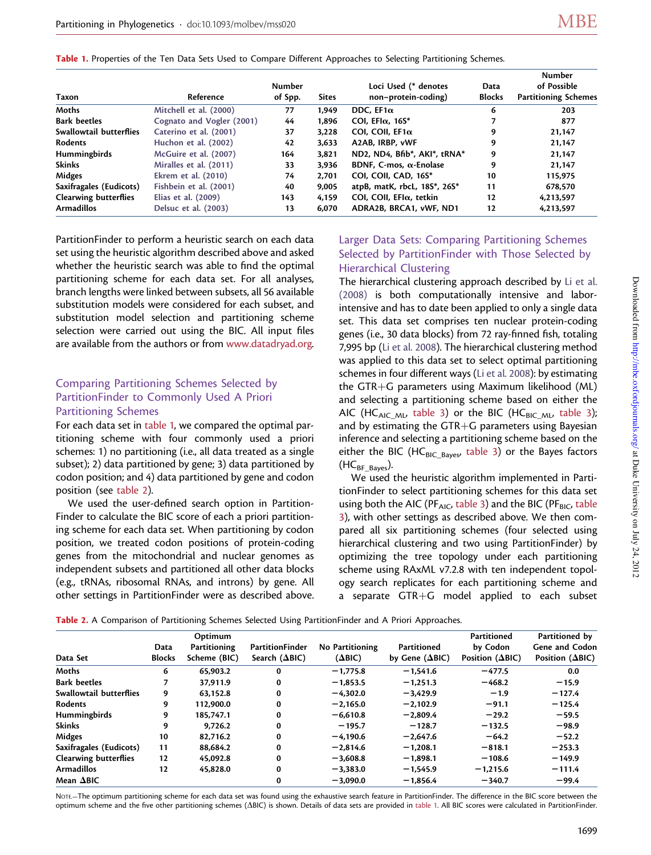| Taxon                        | Reference                 | <b>Number</b><br>of Spp. | <b>Sites</b> | Loci Used (* denotes<br>non-protein-coding) | Data<br><b>Blocks</b> | Number<br>of Possible<br><b>Partitioning Schemes</b> |
|------------------------------|---------------------------|--------------------------|--------------|---------------------------------------------|-----------------------|------------------------------------------------------|
| Moths                        | Mitchell et al. (2000)    | 77                       | 1.949        | DDC. EF1 $\alpha$                           | 6                     | 203                                                  |
| <b>Bark beetles</b>          | Cognato and Vogler (2001) | 44                       | 1.896        | COI. EFI $\alpha$ . 165*                    |                       | 877                                                  |
| Swallowtail butterflies      | Caterino et al. (2001)    | 37                       | 3.228        | COI. COII. EF1 $\alpha$                     | 9                     | 21,147                                               |
| Rodents                      | Huchon et al. (2002)      | 42                       | 3.633        | A2AB. IRBP. vWF                             | 9                     | 21.147                                               |
| <b>Hummingbirds</b>          | McGuire et al. (2007)     | 164                      | 3.821        | ND2, ND4, Bfib*, AKI*, tRNA*                | 9                     | 21.147                                               |
| <b>Skinks</b>                | Miralles et al. (2011)    | 33                       | 3.936        | BDNF, C-mos, $\alpha$ -Enolase              | 9                     | 21,147                                               |
| Midges                       | Ekrem et al. (2010)       | 74                       | 2.701        | COI. COII. CAD. 16S*                        | 10                    | 115.975                                              |
| Saxifragales (Eudicots)      | Fishbein et al. (2001)    | 40                       | 9,005        | atpB, matK, rbcL, 18S*, 26S*                | 11                    | 678,570                                              |
| <b>Clearwing butterflies</b> | Elias et al. (2009)       | 143                      | 4,159        | COI. COII. EFI $\alpha$ , tetkin            | 12                    | 4,213,597                                            |
| <b>Armadillos</b>            | Delsuc et al. (2003)      | 13                       | 6.070        | ADRA2B, BRCA1, vWF, ND1                     | 12                    | 4,213,597                                            |

PartitionFinder to perform a heuristic search on each data set using the heuristic algorithm described above and asked whether the heuristic search was able to find the optimal partitioning scheme for each data set. For all analyses, branch lengths were linked between subsets, all 56 available substitution models were considered for each subset, and substitution model selection and partitioning scheme selection were carried out using the BIC. All input files are available from the authors or from <www.datadryad.org>.

#### Comparing Partitioning Schemes Selected by PartitionFinder to Commonly Used A Priori Partitioning Schemes

For each data set in table 1, we compared the optimal partitioning scheme with four commonly used a priori schemes: 1) no partitioning (i.e., all data treated as a single subset); 2) data partitioned by gene; 3) data partitioned by codon position; and 4) data partitioned by gene and codon position (see table 2).

We used the user-defined search option in Partition-Finder to calculate the BIC score of each a priori partitioning scheme for each data set. When partitioning by codon position, we treated codon positions of protein-coding genes from the mitochondrial and nuclear genomes as independent subsets and partitioned all other data blocks (e.g., tRNAs, ribosomal RNAs, and introns) by gene. All other settings in PartitionFinder were as described above.

## Larger Data Sets: Comparing Partitioning Schemes Selected by PartitionFinder with Those Selected by Hierarchical Clustering

The hierarchical clustering approach described by [Li et al.](#page-6-0) [\(2008\)](#page-6-0) is both computationally intensive and laborintensive and has to date been applied to only a single data set. This data set comprises ten nuclear protein-coding genes (i.e., 30 data blocks) from 72 ray-finned fish, totaling 7,995 bp ([Li et al. 2008\)](#page-6-0). The hierarchical clustering method was applied to this data set to select optimal partitioning schemes in four different ways [\(Li et al. 2008\)](#page-6-0): by estimating the GTR $+$ G parameters using Maximum likelihood (ML) and selecting a partitioning scheme based on either the AIC (HC<sub>AIC\_ML</sub>, table 3) or the BIC (HC<sub>BIC\_ML</sub>, table 3); and by estimating the GTR $+$ G parameters using Bayesian inference and selecting a partitioning scheme based on the either the BIC (HC $_{BIC\;Baves}$  table 3) or the Bayes factors  $(HC_{BF\;Bayes})$ .

We used the heuristic algorithm implemented in PartitionFinder to select partitioning schemes for this data set using both the AIC (PF $_{AIC}$ , table 3) and the BIC (PF $_{BIC}$ , table 3), with other settings as described above. We then compared all six partitioning schemes (four selected using hierarchical clustering and two using PartitionFinder) by optimizing the tree topology under each partitioning scheme using RAxML v7.2.8 with ten independent topology search replicates for each partitioning scheme and a separate  $GTR+G$  model applied to each subset

|  | Table 2. A Comparison of Partitioning Schemes Selected Using PartitionFinder and A Priori Approaches. |  |  |  |  |
|--|-------------------------------------------------------------------------------------------------------|--|--|--|--|
|  |                                                                                                       |  |  |  |  |

|                              |               | Optimum      |                       |                 |                        | Partitioned              | Partitioned by          |
|------------------------------|---------------|--------------|-----------------------|-----------------|------------------------|--------------------------|-------------------------|
|                              | Data          | Partitioning | PartitionFinder       | No Partitioning | Partitioned            | by Codon                 | <b>Gene and Codon</b>   |
| Data Set                     | <b>Blocks</b> | Scheme (BIC) | Search $(\Delta BIC)$ | $(\Delta BIC)$  | by Gene $(\Delta BIC)$ | Position ( $\Delta$ BIC) | Position $(\Delta BIC)$ |
| Moths                        | 6             | 65,903.2     | 0                     | $-1.775.8$      | $-1.541.6$             | $-477.5$                 | 0.0                     |
| <b>Bark beetles</b>          |               | 37.911.9     | 0                     | $-1.853.5$      | $-1.251.3$             | $-468.2$                 | $-15.9$                 |
| Swallowtail butterflies      | 9             | 63,152.8     | 0                     | $-4,302.0$      | $-3.429.9$             | $-1.9$                   | $-127.4$                |
| Rodents                      | 9             | 112,900.0    | 0                     | $-2.165.0$      | $-2.102.9$             | $-91.1$                  | $-125.4$                |
| <b>Hummingbirds</b>          | 9             | 185.747.1    | 0                     | $-6.610.8$      | $-2.809.4$             | $-29.2$                  | $-59.5$                 |
| <b>Skinks</b>                | 9             | 9.726.2      | 0                     | $-195.7$        | $-128.7$               | $-132.5$                 | $-98.9$                 |
| Midges                       | 10            | 82,716.2     | 0                     | $-4.190.6$      | $-2.647.6$             | $-64.2$                  | $-52.2$                 |
| Saxifragales (Eudicots)      | 11            | 88.684.2     | 0                     | $-2.814.6$      | $-1.208.1$             | $-818.1$                 | $-253.3$                |
| <b>Clearwing butterflies</b> | 12            | 45,092.8     | 0                     | $-3,608.8$      | $-1.898.1$             | $-108.6$                 | $-149.9$                |
| <b>Armadillos</b>            | 12            | 45,828.0     | 0                     | $-3,383.0$      | $-1,545.9$             | $-1,215.6$               | $-111.4$                |
| Mean $\Delta$ BIC            |               |              | 0                     | $-3.090.0$      | $-1.856.4$             | $-340.7$                 | $-99.4$                 |

NOTE-The optimum partitioning scheme for each data set was found using the exhaustive search feature in PartitionFinder. The difference in the BIC score between the optimum scheme and the five other partitioning schemes (DBIC) is shown. Details of data sets are provided in table 1. All BIC scores were calculated in PartitionFinder.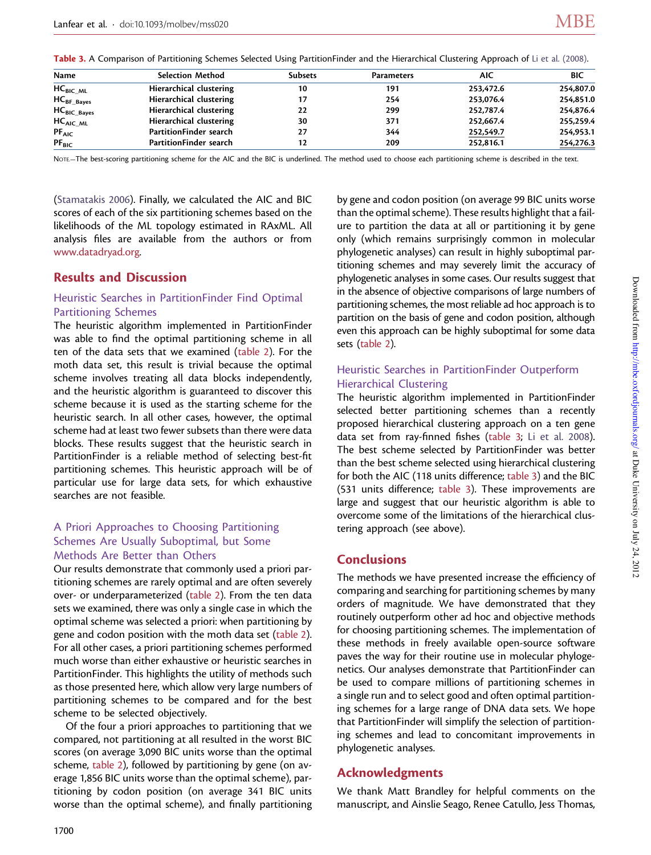|  |  |  | Table 3. A Comparison of Partitioning Schemes Selected Using PartitionFinder and the Hierarchical Clustering Approach of Li et al. (2008). |  |
|--|--|--|--------------------------------------------------------------------------------------------------------------------------------------------|--|
|--|--|--|--------------------------------------------------------------------------------------------------------------------------------------------|--|

| Name                     | <b>Selection Method</b> | <b>Subsets</b> | <b>Parameters</b> | AIC       | BIC       |  |
|--------------------------|-------------------------|----------------|-------------------|-----------|-----------|--|
| $HC_{BIC}$ <sub>ML</sub> | Hierarchical clustering | 10             | 191               | 253,472.6 | 254,807.0 |  |
| $HC_{BF\;Bayes}$         | Hierarchical clustering | 17             | 254               | 253,076.4 | 254,851.0 |  |
| $HC_{BIC_Bayes}$         | Hierarchical clustering | 22             | 299               | 252,787.4 | 254,876.4 |  |
| $HC_{AIC}$ $ML$          | Hierarchical clustering | 30             | 371               | 252.667.4 | 255,259.4 |  |
| $PF_{AIC}$               | PartitionFinder search  | 27             | 344               | 252,549.7 | 254,953.1 |  |
| $PF_{BIC}$               | PartitionFinder search  | 12             | 209               | 252,816.1 | 254,276.3 |  |

NOTE-The best-scoring partitioning scheme for the AIC and the BIC is underlined. The method used to choose each partitioning scheme is described in the text.

[\(Stamatakis 2006\)](#page-6-0). Finally, we calculated the AIC and BIC scores of each of the six partitioning schemes based on the likelihoods of the ML topology estimated in RAxML. All analysis files are available from the authors or from [www.datadryad.org.](www.datadryad.org)

## Results and Discussion

## Heuristic Searches in PartitionFinder Find Optimal Partitioning Schemes

The heuristic algorithm implemented in PartitionFinder was able to find the optimal partitioning scheme in all ten of the data sets that we examined (table 2). For the moth data set, this result is trivial because the optimal scheme involves treating all data blocks independently, and the heuristic algorithm is guaranteed to discover this scheme because it is used as the starting scheme for the heuristic search. In all other cases, however, the optimal scheme had at least two fewer subsets than there were data blocks. These results suggest that the heuristic search in PartitionFinder is a reliable method of selecting best-fit partitioning schemes. This heuristic approach will be of particular use for large data sets, for which exhaustive searches are not feasible.

#### A Priori Approaches to Choosing Partitioning Schemes Are Usually Suboptimal, but Some Methods Are Better than Others

Our results demonstrate that commonly used a priori partitioning schemes are rarely optimal and are often severely over- or underparameterized (table 2). From the ten data sets we examined, there was only a single case in which the optimal scheme was selected a priori: when partitioning by gene and codon position with the moth data set (table 2). For all other cases, a priori partitioning schemes performed much worse than either exhaustive or heuristic searches in PartitionFinder. This highlights the utility of methods such as those presented here, which allow very large numbers of partitioning schemes to be compared and for the best scheme to be selected objectively.

Of the four a priori approaches to partitioning that we compared, not partitioning at all resulted in the worst BIC scores (on average 3,090 BIC units worse than the optimal scheme, table 2), followed by partitioning by gene (on average 1,856 BIC units worse than the optimal scheme), partitioning by codon position (on average 341 BIC units worse than the optimal scheme), and finally partitioning

by gene and codon position (on average 99 BIC units worse than the optimal scheme). These results highlight that a failure to partition the data at all or partitioning it by gene only (which remains surprisingly common in molecular phylogenetic analyses) can result in highly suboptimal partitioning schemes and may severely limit the accuracy of phylogenetic analyses in some cases. Our results suggest that in the absence of objective comparisons of large numbers of partitioning schemes, the most reliable ad hoc approach is to partition on the basis of gene and codon position, although even this approach can be highly suboptimal for some data sets (table 2).

#### Heuristic Searches in PartitionFinder Outperform Hierarchical Clustering

The heuristic algorithm implemented in PartitionFinder selected better partitioning schemes than a recently proposed hierarchical clustering approach on a ten gene data set from ray-finned fishes (table 3; [Li et al. 2008](#page-6-0)). The best scheme selected by PartitionFinder was better than the best scheme selected using hierarchical clustering for both the AIC (118 units difference; table 3) and the BIC (531 units difference; table 3). These improvements are large and suggest that our heuristic algorithm is able to overcome some of the limitations of the hierarchical clustering approach (see above).

## Conclusions

The methods we have presented increase the efficiency of comparing and searching for partitioning schemes by many orders of magnitude. We have demonstrated that they routinely outperform other ad hoc and objective methods for choosing partitioning schemes. The implementation of these methods in freely available open-source software paves the way for their routine use in molecular phylogenetics. Our analyses demonstrate that PartitionFinder can be used to compare millions of partitioning schemes in a single run and to select good and often optimal partitioning schemes for a large range of DNA data sets. We hope that PartitionFinder will simplify the selection of partitioning schemes and lead to concomitant improvements in phylogenetic analyses.

## Acknowledgments

We thank Matt Brandley for helpful comments on the manuscript, and Ainslie Seago, Renee Catullo, Jess Thomas,